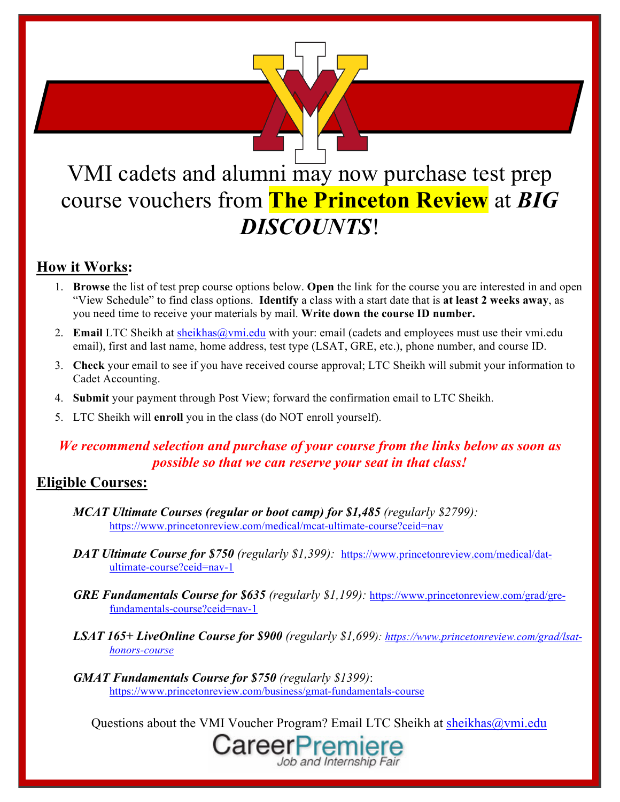

# VMI cadets and alumni may now purchase test prep course vouchers from **The Princeton Review** at *BIG DISCOUNTS*!

#### **How it Works:**

- 1. **Browse** the list of test prep course options below. **Open** the link for the course you are interested in and open "View Schedule" to find class options. **Identify** a class with a start date that is **at least 2 weeks away**, as you need time to receive your materials by mail. **Write down the course ID number.**
- 2. **Email** LTC Sheikh at sheikhas @vmi.edu with your: email (cadets and employees must use their vmi.edu email), first and last name, home address, test type (LSAT, GRE, etc.), phone number, and course ID.
- 3. **Check** your email to see if you have received course approval; LTC Sheikh will submit your information to Cadet Accounting.
- 4. **Submit** your payment through Post View; forward the confirmation email to LTC Sheikh.
- 5. LTC Sheikh will **enroll** you in the class (do NOT enroll yourself).

#### *We recommend selection and purchase of your course from the links below as soon as possible so that we can reserve your seat in that class!*

#### **Eligible Courses:**

- *MCAT Ultimate Courses (regular or boot camp) for \$1,485 (regularly \$2799):* https://www.princetonreview.com/medical/mcat-ultimate-course?ceid=nav
- *DAT Ultimate Course for \$750 (regularly \$1,399):* https://www.princetonreview.com/medical/datultimate-course?ceid=nav-1
- *GRE Fundamentals Course for \$635 (regularly \$1,199):* https://www.princetonreview.com/grad/grefundamentals-course?ceid=nav-1
- *LSAT 165+ LiveOnline Course for \$900 (regularly \$1,699): https://www.princetonreview.com/grad/lsathonors-course*
- *GMAT Fundamentals Course for \$750 (regularly \$1399)*: https://www.princetonreview.com/business/gmat-fundamentals-course

Questions about the VMI Voucher Program? Email LTC Sheikh at sheikhas@vmi.edu

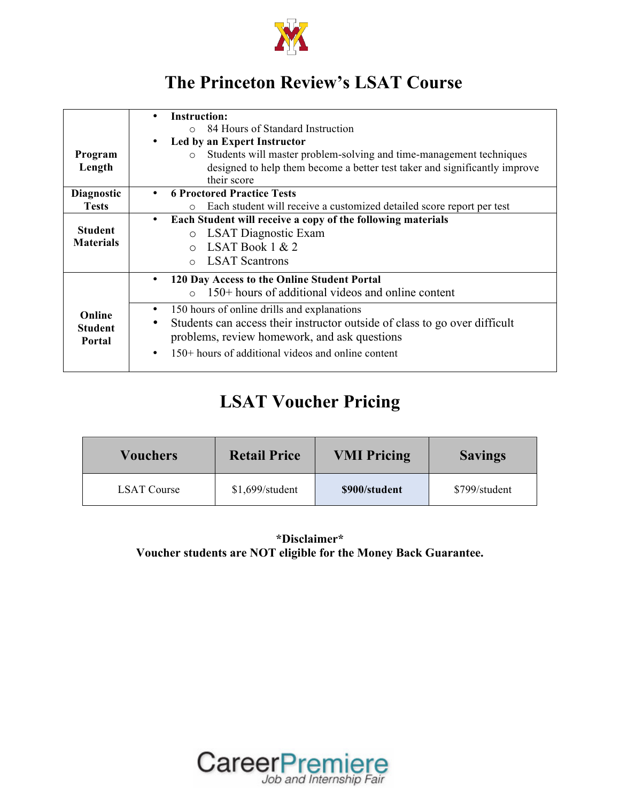

#### **The Princeton Review's LSAT Course**

|                                    | <b>Instruction:</b>                                                              |  |  |  |  |  |  |
|------------------------------------|----------------------------------------------------------------------------------|--|--|--|--|--|--|
|                                    | 84 Hours of Standard Instruction<br>$\cap$                                       |  |  |  |  |  |  |
|                                    | Led by an Expert Instructor                                                      |  |  |  |  |  |  |
| Program                            | Students will master problem-solving and time-management techniques<br>$\circ$   |  |  |  |  |  |  |
| Length                             | designed to help them become a better test taker and significantly improve       |  |  |  |  |  |  |
|                                    | their score                                                                      |  |  |  |  |  |  |
| <b>Diagnostic</b>                  | <b>6 Proctored Practice Tests</b>                                                |  |  |  |  |  |  |
| <b>Tests</b>                       | Each student will receive a customized detailed score report per test<br>$\circ$ |  |  |  |  |  |  |
|                                    | Each Student will receive a copy of the following materials<br>$\bullet$         |  |  |  |  |  |  |
| <b>Student</b><br><b>Materials</b> | o LSAT Diagnostic Exam                                                           |  |  |  |  |  |  |
|                                    | LSAT Book $1 & 2$<br>$\circ$                                                     |  |  |  |  |  |  |
|                                    | $\circ$ LSAT Scantrons                                                           |  |  |  |  |  |  |
|                                    | 120 Day Access to the Online Student Portal                                      |  |  |  |  |  |  |
|                                    | $150+$ hours of additional videos and online content<br>$\circ$                  |  |  |  |  |  |  |
| Online                             | 150 hours of online drills and explanations<br>$\bullet$                         |  |  |  |  |  |  |
| <b>Student</b><br>Portal           | Students can access their instructor outside of class to go over difficult<br>٠  |  |  |  |  |  |  |
|                                    | problems, review homework, and ask questions                                     |  |  |  |  |  |  |
|                                    | $150+$ hours of additional videos and online content<br>٠                        |  |  |  |  |  |  |

#### **LSAT Voucher Pricing**

| <b>Vouchers</b>    | <b>Retail Price</b> | <b>VMI Pricing</b> | <b>Savings</b> |
|--------------------|---------------------|--------------------|----------------|
| <b>LSAT Course</b> | $$1,699$ /student   | \$900/student      | \$799/student  |

**\*Disclaimer\* Voucher students are NOT eligible for the Money Back Guarantee.**

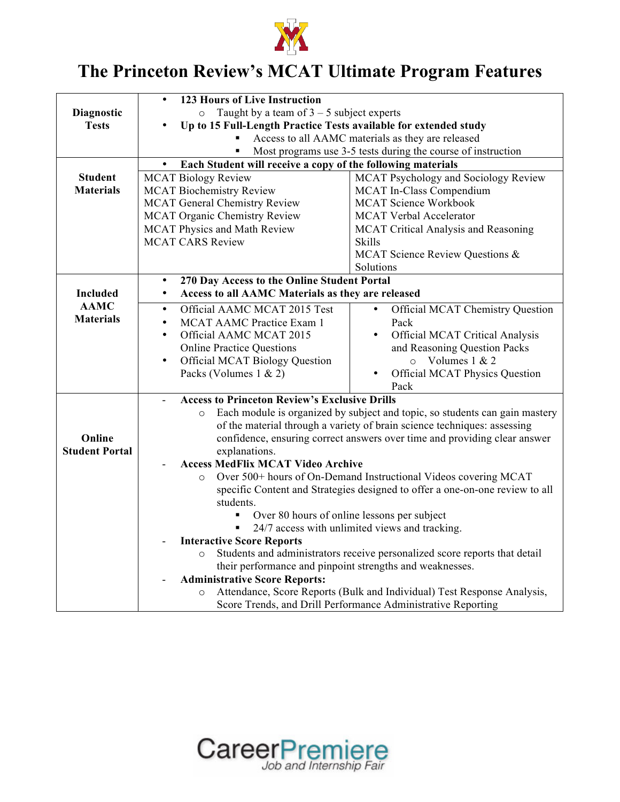

## **The Princeton Review's MCAT Ultimate Program Features**

|                       | <b>123 Hours of Live Instruction</b>                                                   |                                                                            |  |  |
|-----------------------|----------------------------------------------------------------------------------------|----------------------------------------------------------------------------|--|--|
| <b>Diagnostic</b>     | Taught by a team of $3 - 5$ subject experts<br>$\circ$                                 |                                                                            |  |  |
| <b>Tests</b>          | Up to 15 Full-Length Practice Tests available for extended study                       |                                                                            |  |  |
|                       | Access to all AAMC materials as they are released                                      |                                                                            |  |  |
|                       |                                                                                        | Most programs use 3-5 tests during the course of instruction               |  |  |
|                       | Each Student will receive a copy of the following materials<br>$\bullet$               |                                                                            |  |  |
| <b>Student</b>        | <b>MCAT Biology Review</b>                                                             | MCAT Psychology and Sociology Review                                       |  |  |
| <b>Materials</b>      | <b>MCAT Biochemistry Review</b>                                                        | MCAT In-Class Compendium                                                   |  |  |
|                       | <b>MCAT General Chemistry Review</b>                                                   | <b>MCAT Science Workbook</b>                                               |  |  |
|                       | <b>MCAT Organic Chemistry Review</b>                                                   | <b>MCAT Verbal Accelerator</b>                                             |  |  |
|                       | <b>MCAT Physics and Math Review</b>                                                    | <b>MCAT Critical Analysis and Reasoning</b>                                |  |  |
|                       | <b>MCAT CARS Review</b>                                                                | <b>Skills</b>                                                              |  |  |
|                       |                                                                                        | MCAT Science Review Questions &                                            |  |  |
|                       |                                                                                        | Solutions                                                                  |  |  |
|                       | 270 Day Access to the Online Student Portal<br>$\bullet$                               |                                                                            |  |  |
| <b>Included</b>       | Access to all AAMC Materials as they are released<br>$\bullet$                         |                                                                            |  |  |
| <b>AAMC</b>           | Official AAMC MCAT 2015 Test<br>$\bullet$                                              | Official MCAT Chemistry Question<br>$\bullet$                              |  |  |
| <b>Materials</b>      | MCAT AAMC Practice Exam 1<br>$\bullet$                                                 | Pack                                                                       |  |  |
|                       | Official AAMC MCAT 2015<br>$\bullet$                                                   | Official MCAT Critical Analysis                                            |  |  |
|                       | <b>Online Practice Questions</b>                                                       | and Reasoning Question Packs                                               |  |  |
|                       | <b>Official MCAT Biology Question</b><br>$\bullet$                                     | Volumes 1 & 2<br>$\circ$                                                   |  |  |
|                       | Packs (Volumes 1 & 2)                                                                  | <b>Official MCAT Physics Question</b>                                      |  |  |
|                       |                                                                                        | Pack                                                                       |  |  |
|                       | <b>Access to Princeton Review's Exclusive Drills</b>                                   |                                                                            |  |  |
|                       | Each module is organized by subject and topic, so students can gain mastery<br>$\circ$ |                                                                            |  |  |
|                       | of the material through a variety of brain science techniques: assessing               |                                                                            |  |  |
| Online                | confidence, ensuring correct answers over time and providing clear answer              |                                                                            |  |  |
| <b>Student Portal</b> | explanations.                                                                          |                                                                            |  |  |
|                       | <b>Access MedFlix MCAT Video Archive</b>                                               |                                                                            |  |  |
|                       | Over 500+ hours of On-Demand Instructional Videos covering MCAT<br>$\circ$             |                                                                            |  |  |
|                       | specific Content and Strategies designed to offer a one-on-one review to all           |                                                                            |  |  |
|                       | students.                                                                              |                                                                            |  |  |
|                       | Over 80 hours of online lessons per subject<br>٠                                       |                                                                            |  |  |
|                       | 24/7 access with unlimited views and tracking.                                         |                                                                            |  |  |
|                       | <b>Interactive Score Reports</b>                                                       |                                                                            |  |  |
|                       | $\circ$                                                                                | Students and administrators receive personalized score reports that detail |  |  |
|                       | their performance and pinpoint strengths and weaknesses.                               |                                                                            |  |  |
|                       | <b>Administrative Score Reports:</b>                                                   |                                                                            |  |  |
|                       | Attendance, Score Reports (Bulk and Individual) Test Response Analysis,<br>$\circ$     |                                                                            |  |  |
|                       | Score Trends, and Drill Performance Administrative Reporting                           |                                                                            |  |  |

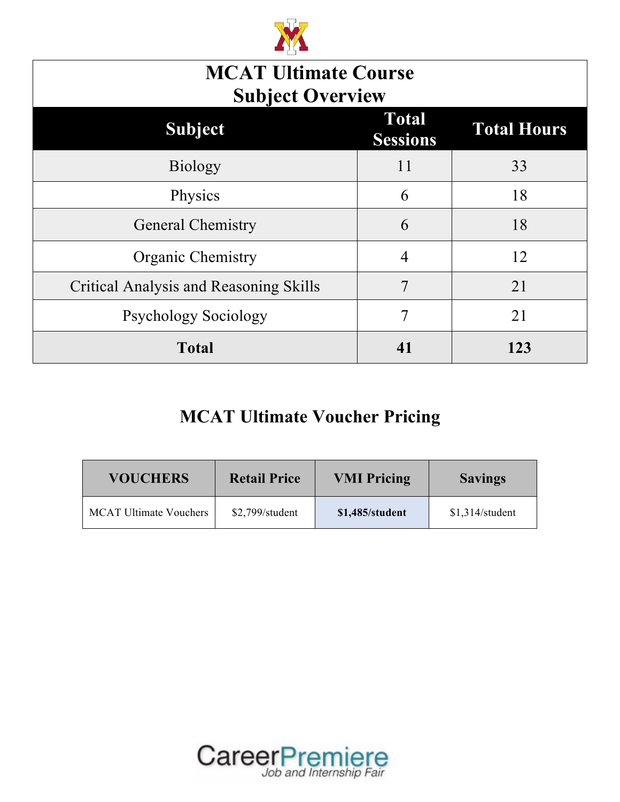

| <b>MCAT Ultimate Course</b><br><b>Subject Overview</b>           |    |     |  |  |
|------------------------------------------------------------------|----|-----|--|--|
| <b>Total</b><br><b>Total Hours</b><br>Subject<br><b>Sessions</b> |    |     |  |  |
| <b>Biology</b>                                                   | 11 | 33  |  |  |
| Physics                                                          | 6  | 18  |  |  |
| <b>General Chemistry</b>                                         | 6  | 18  |  |  |
| <b>Organic Chemistry</b>                                         | 4  | 12  |  |  |
| <b>Critical Analysis and Reasoning Skills</b>                    | 7  | 21  |  |  |
| <b>Psychology Sociology</b>                                      | 7  | 21  |  |  |
| <b>Total</b>                                                     | 41 | 123 |  |  |

## **MCAT Ultimate Voucher Pricing**

| <b>VOUCHERS</b>               | <b>Retail Price</b> | <b>VMI Pricing</b> | <b>Savings</b>  |
|-------------------------------|---------------------|--------------------|-----------------|
| <b>MCAT Ultimate Vouchers</b> | $$2,799$ /student   | \$1,485/student    | \$1,314/student |

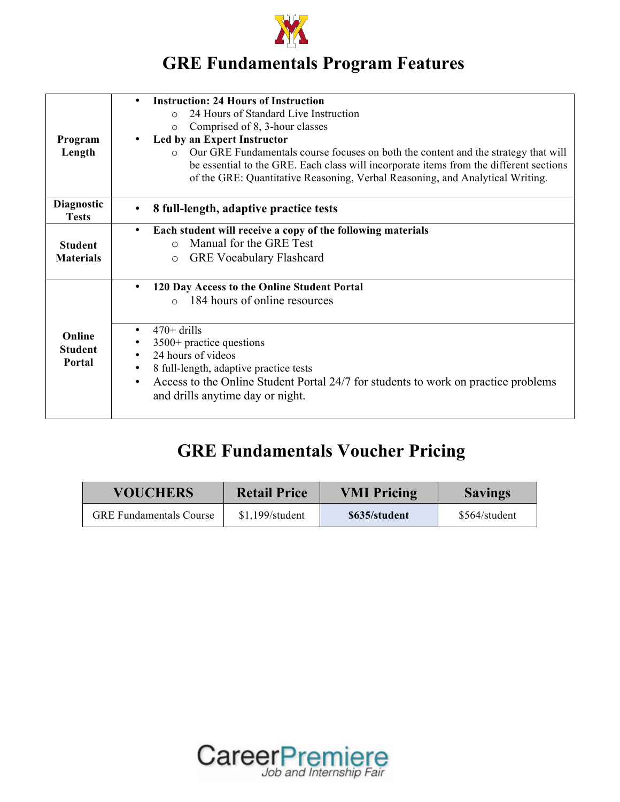

## **GRE Fundamentals Program Features**

|                                   | <b>Instruction: 24 Hours of Instruction</b>                                                     |
|-----------------------------------|-------------------------------------------------------------------------------------------------|
|                                   | 24 Hours of Standard Live Instruction<br>$\Omega$                                               |
|                                   | Comprised of 8, 3-hour classes<br>$\circ$                                                       |
| Program                           | Led by an Expert Instructor                                                                     |
| Length                            | Our GRE Fundamentals course focuses on both the content and the strategy that will<br>$\cap$    |
|                                   | be essential to the GRE. Each class will incorporate items from the different sections          |
|                                   | of the GRE: Quantitative Reasoning, Verbal Reasoning, and Analytical Writing.                   |
|                                   |                                                                                                 |
| <b>Diagnostic</b><br><b>Tests</b> | 8 full-length, adaptive practice tests                                                          |
|                                   | Each student will receive a copy of the following materials<br>$\bullet$                        |
| <b>Student</b>                    | Manual for the GRE Test<br>$\bigcap$                                                            |
| <b>Materials</b>                  | <b>GRE Vocabulary Flashcard</b><br>$\circ$                                                      |
|                                   |                                                                                                 |
|                                   | 120 Day Access to the Online Student Portal<br>$\bullet$                                        |
|                                   | 184 hours of online resources<br>$\circ$                                                        |
|                                   |                                                                                                 |
| Online                            | $470+$ drills<br>$\bullet$                                                                      |
| <b>Student</b>                    | $3500+$ practice questions                                                                      |
| Portal                            | 24 hours of videos                                                                              |
|                                   | 8 full-length, adaptive practice tests<br>$\bullet$                                             |
|                                   | Access to the Online Student Portal 24/7 for students to work on practice problems<br>$\bullet$ |
|                                   | and drills anytime day or night.                                                                |
|                                   |                                                                                                 |

## **GRE Fundamentals Voucher Pricing**

| <b>VOUCHERS</b>                | <b>Retail Price</b> | <b>VMI Pricing</b> | <b>Savings</b> |
|--------------------------------|---------------------|--------------------|----------------|
| <b>GRE</b> Fundamentals Course | $$1,199$ /student   | \$635/student      | \$564/student  |

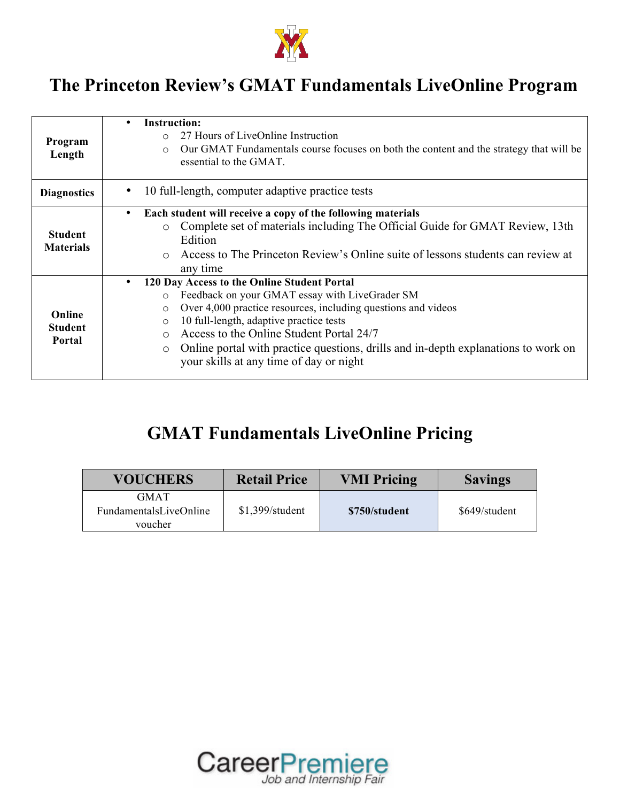

## **The Princeton Review's GMAT Fundamentals LiveOnline Program**

| Program<br>Length                  | <b>Instruction:</b><br>$\bullet$<br>27 Hours of LiveOnline Instruction<br>$\Omega$<br>Our GMAT Fundamentals course focuses on both the content and the strategy that will be<br>$\bigcirc$<br>essential to the GMAT.                                                                                                                                                                                                                                         |
|------------------------------------|--------------------------------------------------------------------------------------------------------------------------------------------------------------------------------------------------------------------------------------------------------------------------------------------------------------------------------------------------------------------------------------------------------------------------------------------------------------|
| <b>Diagnostics</b>                 | 10 full-length, computer adaptive practice tests                                                                                                                                                                                                                                                                                                                                                                                                             |
| <b>Student</b><br><b>Materials</b> | Each student will receive a copy of the following materials<br>$\bullet$<br>Complete set of materials including The Official Guide for GMAT Review, 13th<br>$\circ$<br>Edition<br>Access to The Princeton Review's Online suite of lessons students can review at<br>$\Omega$<br>any time                                                                                                                                                                    |
| Online<br><b>Student</b><br>Portal | 120 Day Access to the Online Student Portal<br>$\bullet$<br>Feedback on your GMAT essay with LiveGrader SM<br>$\circ$<br>Over 4,000 practice resources, including questions and videos<br>$\circ$<br>10 full-length, adaptive practice tests<br>$\circ$<br>Access to the Online Student Portal 24/7<br>$\bigcap$<br>Online portal with practice questions, drills and in-depth explanations to work on<br>$\circ$<br>your skills at any time of day or night |

## **GMAT Fundamentals LiveOnline Pricing**

| <b>VOUCHERS</b>                                  | <b>Retail Price</b> | <b>VMI Pricing</b> | <b>Savings</b> |
|--------------------------------------------------|---------------------|--------------------|----------------|
| <b>GMAT</b><br>FundamentalsLiveOnline<br>voucher | $$1,399$ /student   | \$750/student      | \$649/student  |

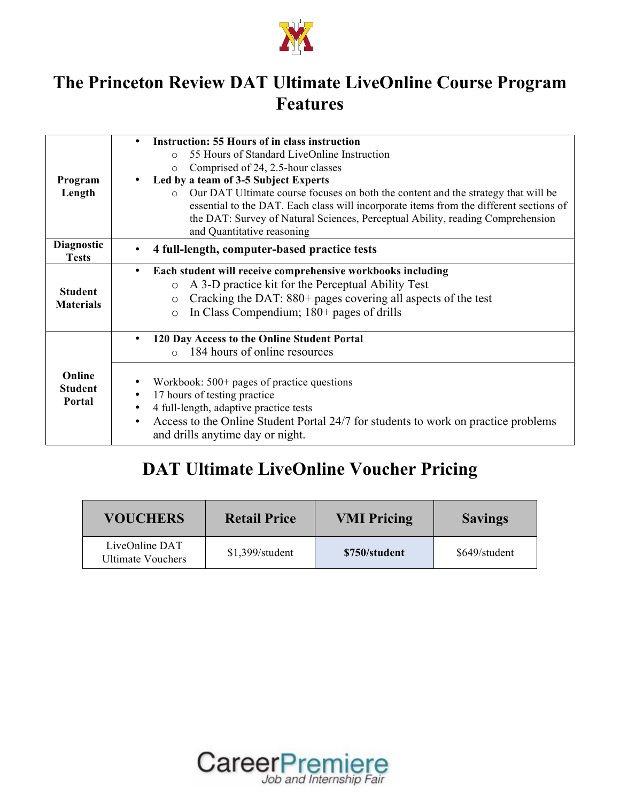

#### **The Princeton Review DAT Ultimate LiveOnline Course Program Features**

|                          | <b>Instruction: 55 Hours of in class instruction</b><br>$\bullet$                                                                   |  |  |  |
|--------------------------|-------------------------------------------------------------------------------------------------------------------------------------|--|--|--|
|                          | 55 Hours of Standard LiveOnline Instruction<br>$\Omega$                                                                             |  |  |  |
|                          |                                                                                                                                     |  |  |  |
|                          | Comprised of 24, 2.5-hour classes<br>$\circ$                                                                                        |  |  |  |
| Program                  | Led by a team of 3-5 Subject Experts                                                                                                |  |  |  |
| Length                   | Our DAT Ultimate course focuses on both the content and the strategy that will be                                                   |  |  |  |
|                          | essential to the DAT. Each class will incorporate items from the different sections of                                              |  |  |  |
|                          | the DAT: Survey of Natural Sciences, Perceptual Ability, reading Comprehension                                                      |  |  |  |
|                          | and Quantitative reasoning                                                                                                          |  |  |  |
| Diagnostic               | 4 full-length, computer-based practice tests                                                                                        |  |  |  |
| <b>Tests</b>             |                                                                                                                                     |  |  |  |
|                          | Each student will receive comprehensive workbooks including<br>$\bullet$                                                            |  |  |  |
|                          | A 3-D practice kit for the Perceptual Ability Test<br>$\circ$                                                                       |  |  |  |
| <b>Student</b>           | Cracking the DAT: 880+ pages covering all aspects of the test<br>$\circ$                                                            |  |  |  |
| <b>Materials</b>         |                                                                                                                                     |  |  |  |
|                          | In Class Compendium; 180+ pages of drills<br>$\circ$                                                                                |  |  |  |
|                          | 120 Day Access to the Online Student Portal                                                                                         |  |  |  |
|                          | 184 hours of online resources<br>$\Omega$                                                                                           |  |  |  |
|                          |                                                                                                                                     |  |  |  |
| Online<br><b>Student</b> | Workbook: $500+$ pages of practice questions                                                                                        |  |  |  |
| Portal                   | 17 hours of testing practice<br>$\bullet$                                                                                           |  |  |  |
|                          | 4 full-length, adaptive practice tests<br>$\bullet$                                                                                 |  |  |  |
|                          | Access to the Online Student Portal 24/7 for students to work on practice problems<br>$\bullet$<br>and drills anytime day or night. |  |  |  |
|                          |                                                                                                                                     |  |  |  |

#### **DAT Ultimate LiveOnline Voucher Pricing**

| <b>VOUCHERS</b>                     | <b>Retail Price</b> | <b>VMI Pricing</b> | <b>Savings</b> |
|-------------------------------------|---------------------|--------------------|----------------|
| LiveOnline DAT<br>Ultimate Vouchers | $$1,399$ /student   | \$750/student      | \$649/student  |

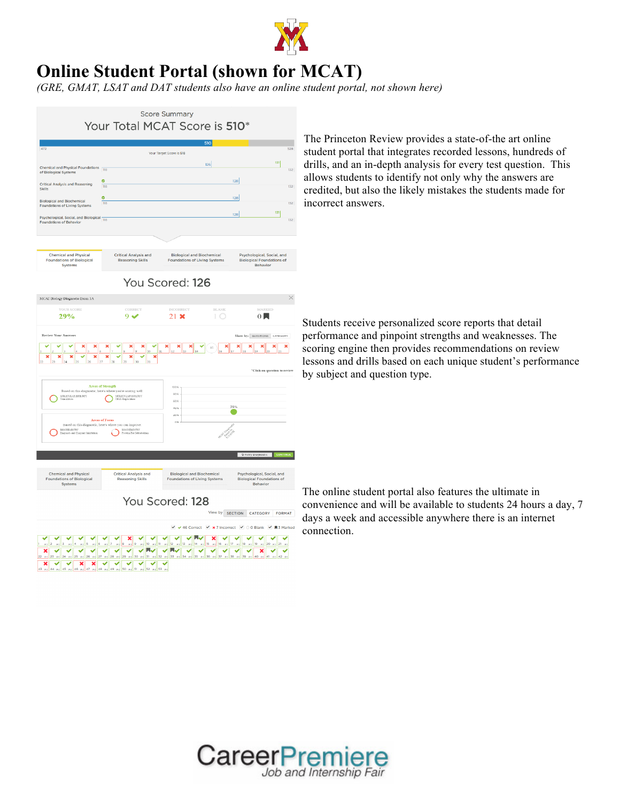

#### **Online Student Portal (shown for MCAT)**

*(GRE, GMAT, LSAT and DAT students also have an online student portal, not shown here)*



The Princeton Review provides a state-of-the art online student portal that integrates recorded lessons, hundreds of drills, and an in-depth analysis for every test question. This allows students to identify not only why the answers are credited, but also the likely mistakes the students made for incorrect answers.

Students receive personalized score reports that detail performance and pinpoint strengths and weaknesses. The scoring engine then provides recommendations on review lessons and drills based on each unique student's performance by subject and question type.



The online student portal also features the ultimate in convenience and will be available to students 24 hours a day, 7 days a week and accessible anywhere there is an internet connection.